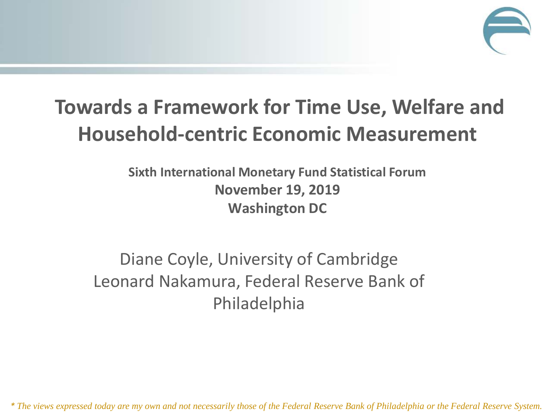

#### **Towards a Framework for Time Use, Welfare and Household-centric Economic Measurement**

**Sixth International Monetary Fund Statistical Forum November 19, 2019 Washington DC**

#### Diane Coyle, University of Cambridge Leonard Nakamura, Federal Reserve Bank of Philadelphia

*\* The views expressed today are my own and not necessarily those of the Federal Reserve Bank of Philadelphia or the Federal Reserve System.*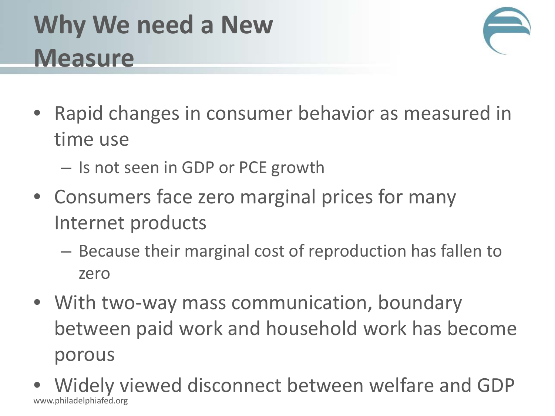# **Why We need a New Measure**



- Rapid changes in consumer behavior as measured in time use
	- Is not seen in GDP or PCE growth
- Consumers face zero marginal prices for many Internet products
	- Because their marginal cost of reproduction has fallen to zero
- With two-way mass communication, boundary between paid work and household work has become porous
- Widely viewed disconnect between welfare and GDP www.philadelphiafed.org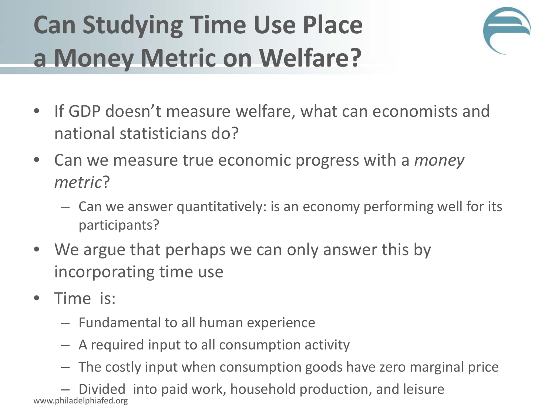# **Can Studying Time Use Place a Money Metric on Welfare?**



- If GDP doesn't measure welfare, what can economists and national statisticians do?
- Can we measure true economic progress with a *money metric*?
	- Can we answer quantitatively: is an economy performing well for its participants?
- We argue that perhaps we can only answer this by incorporating time use
- Time is:
	- Fundamental to all human experience
	- A required input to all consumption activity
	- The costly input when consumption goods have zero marginal price

– Divided into paid work, household production, and leisure www.philadelphiafed.org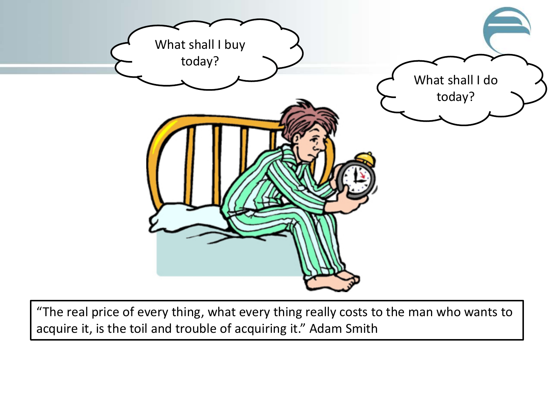

"The real price of every thing, what every thing really costs to the man who wants to acquire it, is the toil and trouble of acquiring it." Adam Smith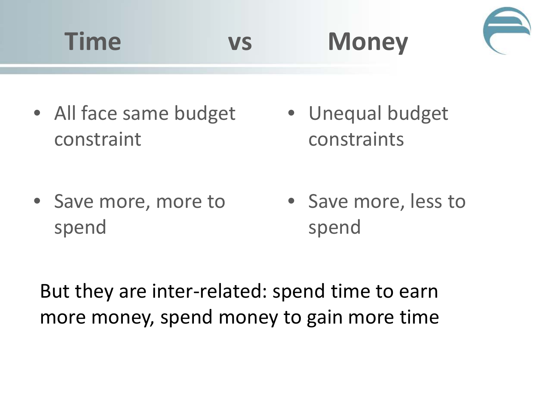

• All face same budget constraint

• Unequal budget constraints

• Save more, more to spend

• Save more, less to spend

But they are inter-related: spend time to earn more money, spend money to gain more time

**Time vs Money**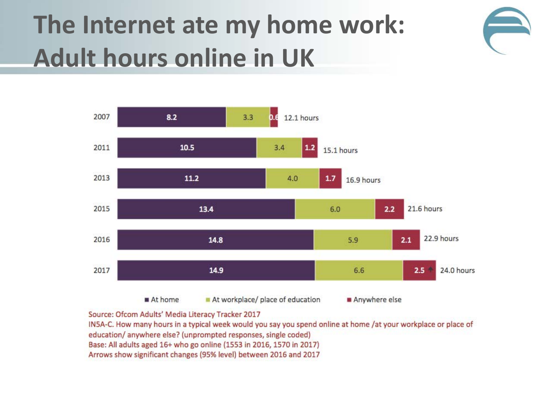### **The Internet ate my home work: Adult hours online in UK**





Source: Ofcom Adults' Media Literacy Tracker 2017

IN5A-C. How many hours in a typical week would you say you spend online at home /at your workplace or place of education/ anywhere else? (unprompted responses, single coded) Base: All adults aged 16+ who go online (1553 in 2016, 1570 in 2017) Arrows show significant changes (95% level) between 2016 and 2017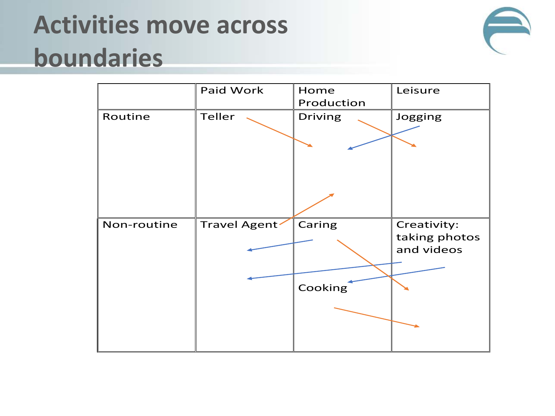# **Activities move across boundaries**



|             | Paid Work     | Home           | Leisure       |
|-------------|---------------|----------------|---------------|
|             |               | Production     |               |
| Routine     | Teller        | <b>Driving</b> | Jogging       |
|             |               |                |               |
|             |               |                |               |
|             |               |                |               |
|             |               |                |               |
|             |               |                |               |
|             |               |                |               |
| Non-routine | Travel Agent' | Caring         | Creativity:   |
|             |               |                | taking photos |
|             |               |                | and videos    |
|             |               |                |               |
|             |               | Cooking        |               |
|             |               |                |               |
|             |               |                |               |
|             |               |                |               |
|             |               |                |               |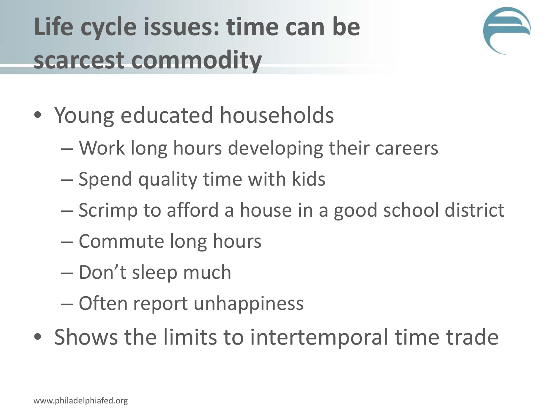# **Life cycle issues: time can be scarcest commodity**



- Young educated households
	- Work long hours developing their careers
	- Spend quality time with kids
	- Scrimp to afford a house in a good school district
	- Commute long hours
	- Don't sleep much
	- Often report unhappiness
- Shows the limits to intertemporal time trade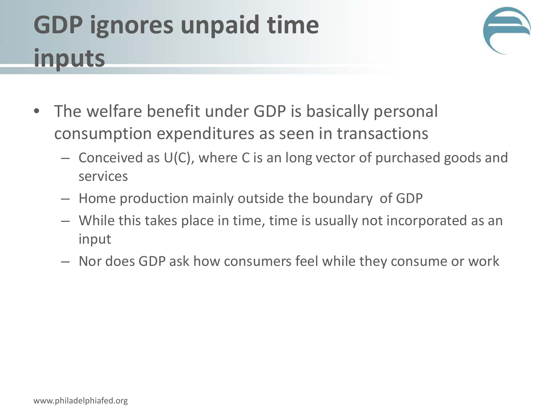# **GDP ignores unpaid time inputs**



- The welfare benefit under GDP is basically personal consumption expenditures as seen in transactions
	- Conceived as U(C), where C is an long vector of purchased goods and services
	- Home production mainly outside the boundary of GDP
	- While this takes place in time, time is usually not incorporated as an input
	- Nor does GDP ask how consumers feel while they consume or work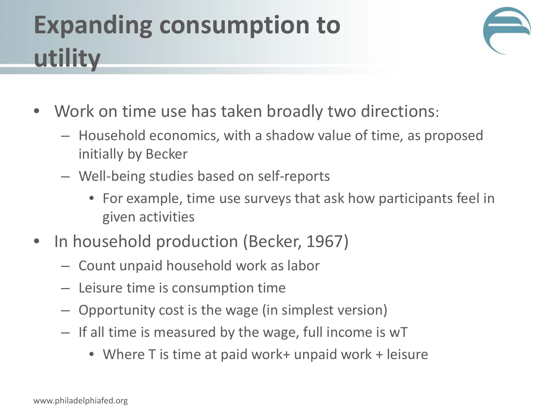# **Expanding consumption to utility**



- Work on time use has taken broadly two directions:
	- Household economics, with a shadow value of time, as proposed initially by Becker
	- Well-being studies based on self-reports
		- For example, time use surveys that ask how participants feel in given activities
- In household production (Becker, 1967)
	- Count unpaid household work as labor
	- Leisure time is consumption time
	- Opportunity cost is the wage (in simplest version)
	- If all time is measured by the wage, full income is wT
		- Where T is time at paid work+ unpaid work + leisure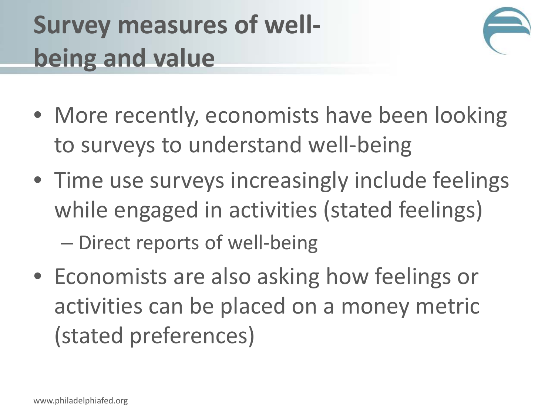# **Survey measures of wellbeing and value**



- More recently, economists have been looking to surveys to understand well-being
- Time use surveys increasingly include feelings while engaged in activities (stated feelings) – Direct reports of well-being
- Economists are also asking how feelings or activities can be placed on a money metric (stated preferences)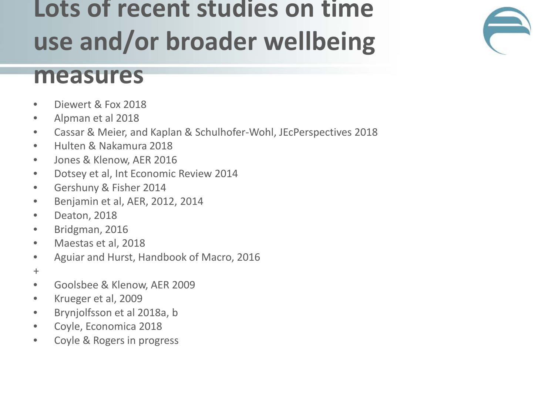### **Lots of recent studies on time use and/or broader wellbeing**

#### **measures**

- Diewert & Fox 2018
- Alpman et al 2018
- Cassar & Meier, and Kaplan & Schulhofer-Wohl, JEcPerspectives 2018
- Hulten & Nakamura 2018
- Jones & Klenow, AER 2016
- Dotsey et al, Int Economic Review 2014
- Gershuny & Fisher 2014
- Benjamin et al, AER, 2012, 2014
- Deaton, 2018
- Bridgman, 2016
- Maestas et al, 2018
- Aguiar and Hurst, Handbook of Macro, 2016
- +
- Goolsbee & Klenow, AER 2009
- Krueger et al, 2009
- Brynjolfsson et al 2018a, b
- Coyle, Economica 2018
- Coyle & Rogers in progress

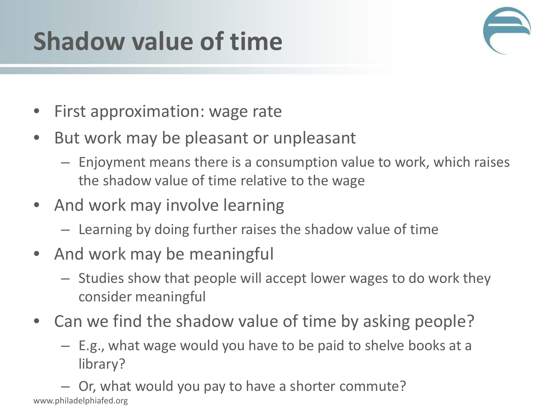# **Shadow value of time**



- First approximation: wage rate
- But work may be pleasant or unpleasant
	- Enjoyment means there is a consumption value to work, which raises the shadow value of time relative to the wage
- And work may involve learning
	- Learning by doing further raises the shadow value of time
- And work may be meaningful
	- Studies show that people will accept lower wages to do work they consider meaningful
- Can we find the shadow value of time by asking people?
	- E.g., what wage would you have to be paid to shelve books at a library?

– Or, what would you pay to have a shorter commute? www.philadelphiafed.org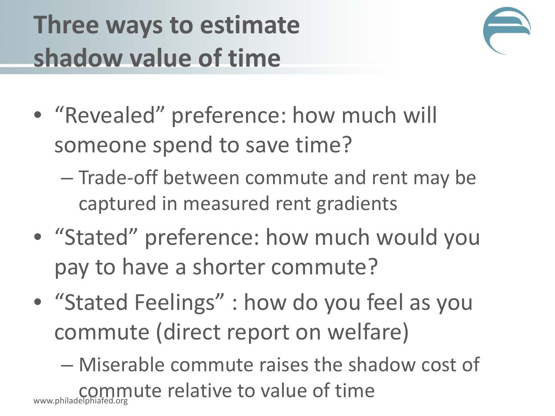# **Three ways to estimate shadow value of time**



- "Revealed" preference: how much will someone spend to save time?
	- Trade-off between commute and rent may be captured in measured rent gradients
- "Stated" preference: how much would you pay to have a shorter commute?
- "Stated Feelings" : how do you feel as you commute (direct report on welfare)

– Miserable commute raises the shadow cost of commute relative to value of time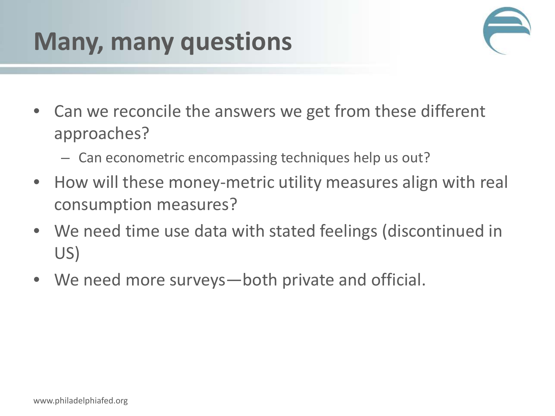### **Many, many questions**



- Can we reconcile the answers we get from these different approaches?
	- Can econometric encompassing techniques help us out?
- How will these money-metric utility measures align with real consumption measures?
- We need time use data with stated feelings (discontinued in US)
- We need more surveys—both private and official.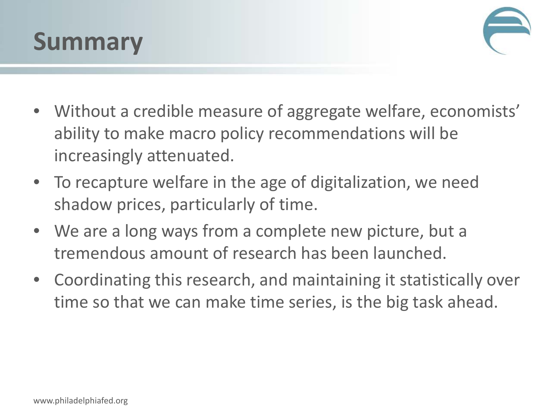



- Without a credible measure of aggregate welfare, economists' ability to make macro policy recommendations will be increasingly attenuated.
- To recapture welfare in the age of digitalization, we need shadow prices, particularly of time.
- We are a long ways from a complete new picture, but a tremendous amount of research has been launched.
- Coordinating this research, and maintaining it statistically over time so that we can make time series, is the big task ahead.